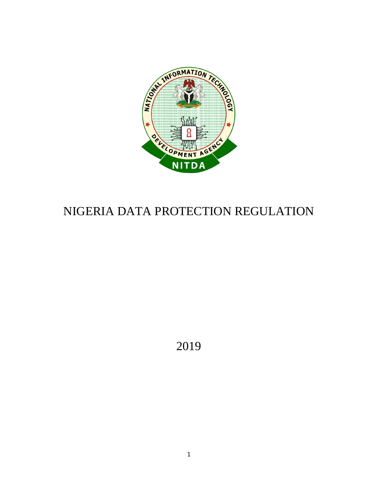

# NIGERIA DATA PROTECTION REGULATION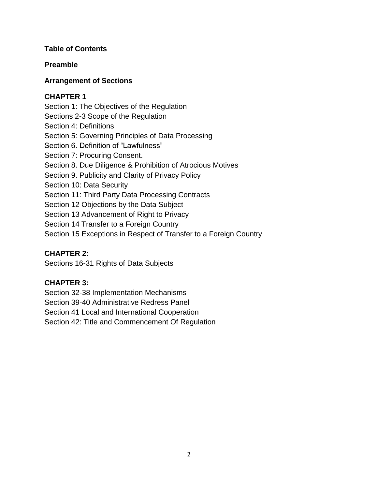## **Table of Contents**

# **Preamble**

# **Arrangement of Sections**

# **CHAPTER 1**

Section 1: The Objectives of the Regulation Sections 2-3 Scope of the Regulation Section 4: Definitions Section 5: Governing Principles of Data Processing Section 6. Definition of "Lawfulness" Section 7: Procuring Consent. Section 8. Due Diligence & Prohibition of Atrocious Motives Section 9. Publicity and Clarity of Privacy Policy Section 10: Data Security Section 11: Third Party Data Processing Contracts Section 12 Objections by the Data Subject Section 13 Advancement of Right to Privacy Section 14 Transfer to a Foreign Country Section 15 Exceptions in Respect of Transfer to a Foreign Country

# **CHAPTER 2**:

Sections 16-31 Rights of Data Subjects

# **CHAPTER 3:**

Section 32-38 Implementation Mechanisms

Section 39-40 Administrative Redress Panel

Section 41 Local and International Cooperation

Section 42: Title and Commencement Of Regulation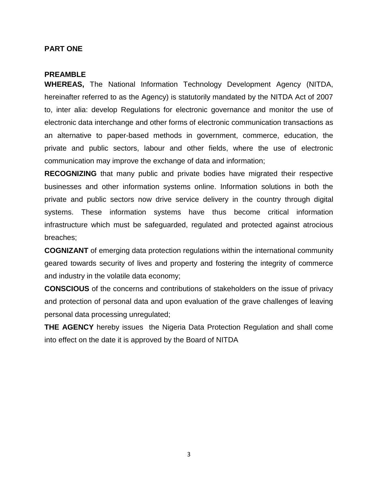#### **PART ONE**

#### **PREAMBLE**

**WHEREAS,** The National Information Technology Development Agency (NITDA, hereinafter referred to as the Agency) is statutorily mandated by the NITDA Act of 2007 to, inter alia: develop Regulations for electronic governance and monitor the use of electronic data interchange and other forms of electronic communication transactions as an alternative to paper-based methods in government, commerce, education, the private and public sectors, labour and other fields, where the use of electronic communication may improve the exchange of data and information;

**RECOGNIZING** that many public and private bodies have migrated their respective businesses and other information systems online. Information solutions in both the private and public sectors now drive service delivery in the country through digital systems. These information systems have thus become critical information infrastructure which must be safeguarded, regulated and protected against atrocious breaches;

**COGNIZANT** of emerging data protection regulations within the international community geared towards security of lives and property and fostering the integrity of commerce and industry in the volatile data economy;

**CONSCIOUS** of the concerns and contributions of stakeholders on the issue of privacy and protection of personal data and upon evaluation of the grave challenges of leaving personal data processing unregulated;

**THE AGENCY** hereby issues the Nigeria Data Protection Regulation and shall come into effect on the date it is approved by the Board of NITDA

3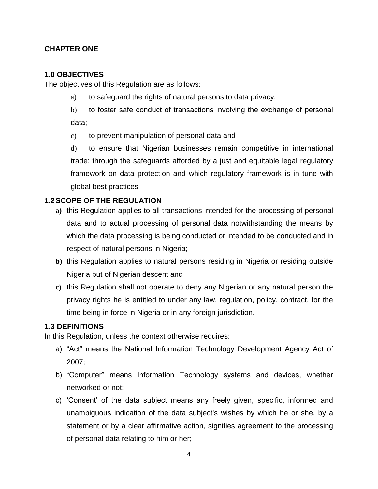# **CHAPTER ONE**

## **1.0 OBJECTIVES**

The objectives of this Regulation are as follows:

- a) to safeguard the rights of natural persons to data privacy;
- b) to foster safe conduct of transactions involving the exchange of personal data;
- c) to prevent manipulation of personal data and

d) to ensure that Nigerian businesses remain competitive in international trade; through the safeguards afforded by a just and equitable legal regulatory framework on data protection and which regulatory framework is in tune with global best practices

# **1.2SCOPE OF THE REGULATION**

- **a)** this Regulation applies to all transactions intended for the processing of personal data and to actual processing of personal data notwithstanding the means by which the data processing is being conducted or intended to be conducted and in respect of natural persons in Nigeria;
- **b)** this Regulation applies to natural persons residing in Nigeria or residing outside Nigeria but of Nigerian descent and
- **c)** this Regulation shall not operate to deny any Nigerian or any natural person the privacy rights he is entitled to under any law, regulation, policy, contract, for the time being in force in Nigeria or in any foreign jurisdiction.

## **1.3 DEFINITIONS**

In this Regulation, unless the context otherwise requires:

- a) "Act" means the National Information Technology Development Agency Act of 2007;
- b) "Computer" means Information Technology systems and devices, whether networked or not;
- c) 'Consent' of the data subject means any freely given, specific, informed and unambiguous indication of the data subject's wishes by which he or she, by a statement or by a clear affirmative action, signifies agreement to the processing of personal data relating to him or her;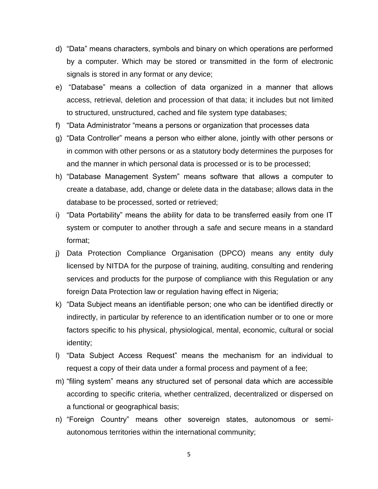- d) "Data" means characters, symbols and binary on which operations are performed by a computer. Which may be stored or transmitted in the form of electronic signals is stored in any format or any device;
- e) "Database" means a collection of data organized in a manner that allows access, retrieval, deletion and procession of that data; it includes but not limited to structured, unstructured, cached and file system type databases;
- f) "Data Administrator "means a persons or organization that processes data
- g) "Data Controller" means a person who either alone, jointly with other persons or in common with other persons or as a statutory body determines the purposes for and the manner in which personal data is processed or is to be processed;
- h) "Database Management System" means software that allows a computer to create a database, add, change or delete data in the database; allows data in the database to be processed, sorted or retrieved;
- i) "Data Portability" means the ability for data to be transferred easily from one IT system or computer to another through a safe and secure means in a standard format;
- j) Data Protection Compliance Organisation (DPCO) means any entity duly licensed by NITDA for the purpose of training, auditing, consulting and rendering services and products for the purpose of compliance with this Regulation or any foreign Data Protection law or regulation having effect in Nigeria;
- k) "Data Subject means an identifiable person; one who can be identified directly or indirectly, in particular by reference to an identification number or to one or more factors specific to his physical, physiological, mental, economic, cultural or social identity;
- l) "Data Subject Access Request" means the mechanism for an individual to request a copy of their data under a formal process and payment of a fee;
- m) "filing system" means any structured set of personal data which are accessible according to specific criteria, whether centralized, decentralized or dispersed on a functional or geographical basis;
- n) "Foreign Country" means other sovereign states, autonomous or semiautonomous territories within the international community;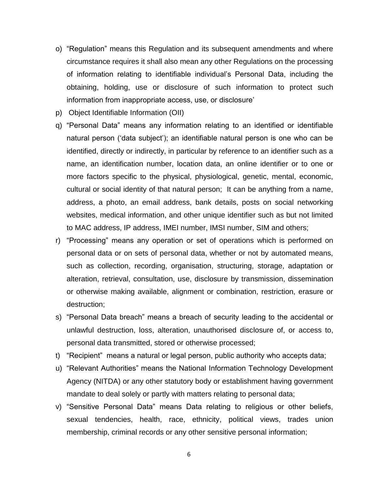- o) "Regulation" means this Regulation and its subsequent amendments and where circumstance requires it shall also mean any other Regulations on the processing of information relating to identifiable individual's Personal Data, including the obtaining, holding, use or disclosure of such information to protect such information from inappropriate access, use, or disclosure'
- p) Object Identifiable Information (OII)
- q) "Personal Data" means any information relating to an identified or identifiable natural person ('data subject'); an identifiable natural person is one who can be identified, directly or indirectly, in particular by reference to an identifier such as a name, an identification number, location data, an online identifier or to one or more factors specific to the physical, physiological, genetic, mental, economic, cultural or social identity of that natural person; It can be anything from a name, address, a photo, an email address, bank details, posts on social networking websites, medical information, and other unique identifier such as but not limited to MAC address, IP address, IMEI number, IMSI number, SIM and others;
- r) "Processing" means any operation or set of operations which is performed on personal data or on sets of personal data, whether or not by automated means, such as collection, recording, organisation, structuring, storage, adaptation or alteration, retrieval, consultation, use, disclosure by transmission, dissemination or otherwise making available, alignment or combination, restriction, erasure or destruction;
- s) "Personal Data breach" means a breach of security leading to the accidental or unlawful destruction, loss, alteration, unauthorised disclosure of, or access to, personal data transmitted, stored or otherwise processed;
- t) "Recipient" means a natural or legal person, public authority who accepts data;
- u) "Relevant Authorities" means the National Information Technology Development Agency (NITDA) or any other statutory body or establishment having government mandate to deal solely or partly with matters relating to personal data;
- v) "Sensitive Personal Data" means Data relating to religious or other beliefs, sexual tendencies, health, race, ethnicity, political views, trades union membership, criminal records or any other sensitive personal information;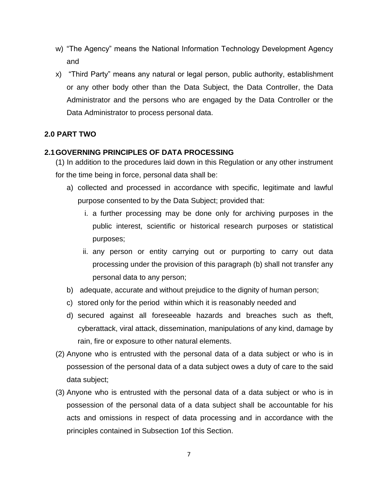- w) "The Agency" means the National Information Technology Development Agency and
- x) "Third Party" means any natural or legal person, public authority, establishment or any other body other than the Data Subject, the Data Controller, the Data Administrator and the persons who are engaged by the Data Controller or the Data Administrator to process personal data.

# **2.0 PART TWO**

# **2.1GOVERNING PRINCIPLES OF DATA PROCESSING**

(1) In addition to the procedures laid down in this Regulation or any other instrument for the time being in force, personal data shall be:

- a) collected and processed in accordance with specific, legitimate and lawful purpose consented to by the Data Subject; provided that:
	- i. a further processing may be done only for archiving purposes in the public interest, scientific or historical research purposes or statistical purposes;
	- ii. any person or entity carrying out or purporting to carry out data processing under the provision of this paragraph (b) shall not transfer any personal data to any person;
- b) adequate, accurate and without prejudice to the dignity of human person;
- c) stored only for the period within which it is reasonably needed and
- d) secured against all foreseeable hazards and breaches such as theft, cyberattack, viral attack, dissemination, manipulations of any kind, damage by rain, fire or exposure to other natural elements.
- (2) Anyone who is entrusted with the personal data of a data subject or who is in possession of the personal data of a data subject owes a duty of care to the said data subject;
- (3) Anyone who is entrusted with the personal data of a data subject or who is in possession of the personal data of a data subject shall be accountable for his acts and omissions in respect of data processing and in accordance with the principles contained in Subsection 1of this Section.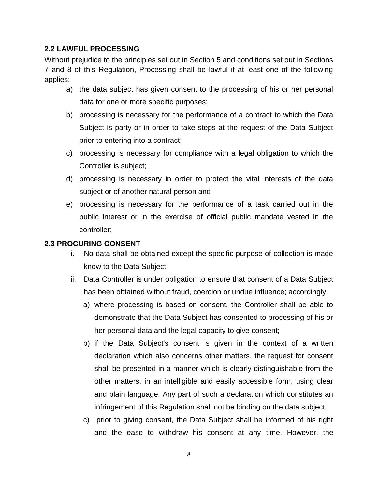# **2.2 LAWFUL PROCESSING**

Without prejudice to the principles set out in Section 5 and conditions set out in Sections 7 and 8 of this Regulation, Processing shall be lawful if at least one of the following applies:

- a) the data subject has given consent to the processing of his or her personal data for one or more specific purposes;
- b) processing is necessary for the performance of a contract to which the Data Subject is party or in order to take steps at the request of the Data Subject prior to entering into a contract;
- c) processing is necessary for compliance with a legal obligation to which the Controller is subject;
- d) processing is necessary in order to protect the vital interests of the data subject or of another natural person and
- e) processing is necessary for the performance of a task carried out in the public interest or in the exercise of official public mandate vested in the controller;

## **2.3 PROCURING CONSENT**

- i. No data shall be obtained except the specific purpose of collection is made know to the Data Subject;
- ii. Data Controller is under obligation to ensure that consent of a Data Subject has been obtained without fraud, coercion or undue influence; accordingly:
	- a) where processing is based on consent, the Controller shall be able to demonstrate that the Data Subject has consented to processing of his or her personal data and the legal capacity to give consent;
	- b) if the Data Subject's consent is given in the context of a written declaration which also concerns other matters, the request for consent shall be presented in a manner which is clearly distinguishable from the other matters, in an intelligible and easily accessible form, using clear and plain language. Any part of such a declaration which constitutes an infringement of this Regulation shall not be binding on the data subject;
	- c) prior to giving consent, the Data Subject shall be informed of his right and the ease to withdraw his consent at any time. However, the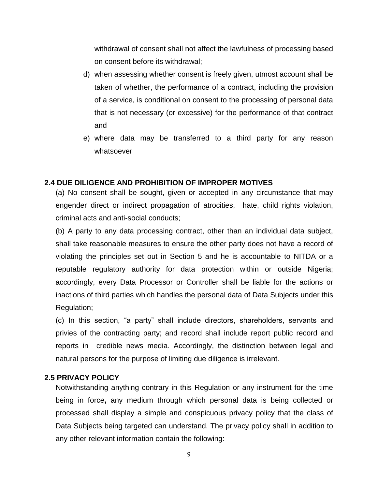withdrawal of consent shall not affect the lawfulness of processing based on consent before its withdrawal;

- d) when assessing whether consent is freely given, utmost account shall be taken of whether, the performance of a contract, including the provision of a service, is conditional on consent to the processing of personal data that is not necessary (or excessive) for the performance of that contract and
- e) where data may be transferred to a third party for any reason whatsoever

#### **2.4 DUE DILIGENCE AND PROHIBITION OF IMPROPER MOTIVES**

(a) No consent shall be sought, given or accepted in any circumstance that may engender direct or indirect propagation of atrocities, hate, child rights violation, criminal acts and anti-social conducts;

(b) A party to any data processing contract, other than an individual data subject, shall take reasonable measures to ensure the other party does not have a record of violating the principles set out in Section 5 and he is accountable to NITDA or a reputable regulatory authority for data protection within or outside Nigeria; accordingly, every Data Processor or Controller shall be liable for the actions or inactions of third parties which handles the personal data of Data Subjects under this Regulation;

(c) In this section, "a party" shall include directors, shareholders, servants and privies of the contracting party; and record shall include report public record and reports in credible news media. Accordingly, the distinction between legal and natural persons for the purpose of limiting due diligence is irrelevant.

## **2.5 PRIVACY POLICY**

Notwithstanding anything contrary in this Regulation or any instrument for the time being in force**,** any medium through which personal data is being collected or processed shall display a simple and conspicuous privacy policy that the class of Data Subjects being targeted can understand. The privacy policy shall in addition to any other relevant information contain the following: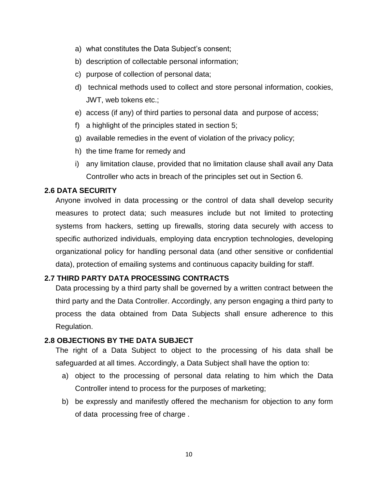- a) what constitutes the Data Subject's consent;
- b) description of collectable personal information;
- c) purpose of collection of personal data;
- d) technical methods used to collect and store personal information, cookies, JWT, web tokens etc.;
- e) access (if any) of third parties to personal data and purpose of access;
- f) a highlight of the principles stated in section 5;
- g) available remedies in the event of violation of the privacy policy;
- h) the time frame for remedy and
- i) any limitation clause, provided that no limitation clause shall avail any Data Controller who acts in breach of the principles set out in Section 6.

## **2.6 DATA SECURITY**

Anyone involved in data processing or the control of data shall develop security measures to protect data; such measures include but not limited to protecting systems from hackers, setting up firewalls, storing data securely with access to specific authorized individuals, employing data encryption technologies, developing organizational policy for handling personal data (and other sensitive or confidential data), protection of emailing systems and continuous capacity building for staff.

## **2.7 THIRD PARTY DATA PROCESSING CONTRACTS**

Data processing by a third party shall be governed by a written contract between the third party and the Data Controller. Accordingly, any person engaging a third party to process the data obtained from Data Subjects shall ensure adherence to this Regulation.

## **2.8 OBJECTIONS BY THE DATA SUBJECT**

The right of a Data Subject to object to the processing of his data shall be safeguarded at all times. Accordingly, a Data Subject shall have the option to:

- a) object to the processing of personal data relating to him which the Data Controller intend to process for the purposes of marketing;
- b) be expressly and manifestly offered the mechanism for objection to any form of data processing free of charge .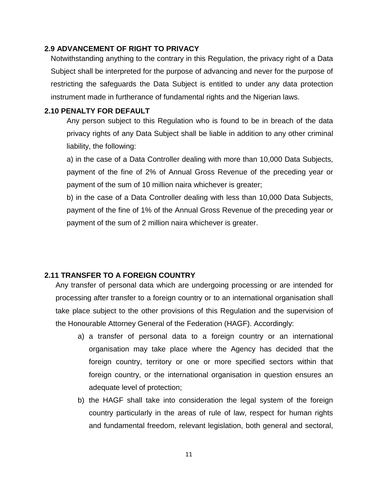## **2.9 ADVANCEMENT OF RIGHT TO PRIVACY**

Notwithstanding anything to the contrary in this Regulation, the privacy right of a Data Subject shall be interpreted for the purpose of advancing and never for the purpose of restricting the safeguards the Data Subject is entitled to under any data protection instrument made in furtherance of fundamental rights and the Nigerian laws.

## **2.10 PENALTY FOR DEFAULT**

Any person subject to this Regulation who is found to be in breach of the data privacy rights of any Data Subject shall be liable in addition to any other criminal liability, the following:

a) in the case of a Data Controller dealing with more than 10,000 Data Subjects, payment of the fine of 2% of Annual Gross Revenue of the preceding year or payment of the sum of 10 million naira whichever is greater;

b) in the case of a Data Controller dealing with less than 10,000 Data Subjects, payment of the fine of 1% of the Annual Gross Revenue of the preceding year or payment of the sum of 2 million naira whichever is greater.

## **2.11 TRANSFER TO A FOREIGN COUNTRY**

Any transfer of personal data which are undergoing processing or are intended for processing after transfer to a foreign country or to an international organisation shall take place subject to the other provisions of this Regulation and the supervision of the Honourable Attorney General of the Federation (HAGF). Accordingly:

- a) a transfer of personal data to a foreign country or an international organisation may take place where the Agency has decided that the foreign country, territory or one or more specified sectors within that foreign country, or the international organisation in question ensures an adequate level of protection;
- b) the HAGF shall take into consideration the legal system of the foreign country particularly in the areas of rule of law, respect for human rights and fundamental freedom, relevant legislation, both general and sectoral,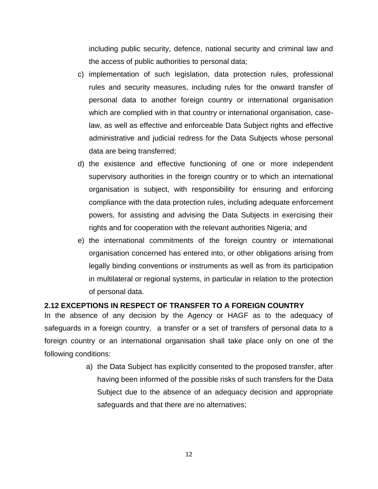including public security, defence, national security and criminal law and the access of public authorities to personal data;

- c) implementation of such legislation, data protection rules, professional rules and security measures, including rules for the onward transfer of personal data to another foreign country or international organisation which are complied with in that country or international organisation, caselaw, as well as effective and enforceable Data Subject rights and effective administrative and judicial redress for the Data Subjects whose personal data are being transferred;
- d) the existence and effective functioning of one or more independent supervisory authorities in the foreign country or to which an international organisation is subject, with responsibility for ensuring and enforcing compliance with the data protection rules, including adequate enforcement powers, for assisting and advising the Data Subjects in exercising their rights and for cooperation with the relevant authorities Nigeria; and
- e) the international commitments of the foreign country or international organisation concerned has entered into, or other obligations arising from legally binding conventions or instruments as well as from its participation in multilateral or regional systems, in particular in relation to the protection of personal data.

## **2.12 EXCEPTIONS IN RESPECT OF TRANSFER TO A FOREIGN COUNTRY**

In the absence of any decision by the Agency or HAGF as to the adequacy of safeguards in a foreign country, a transfer or a set of transfers of personal data to a foreign country or an international organisation shall take place only on one of the following conditions:

> a) the Data Subject has explicitly consented to the proposed transfer, after having been informed of the possible risks of such transfers for the Data Subject due to the absence of an adequacy decision and appropriate safeguards and that there are no alternatives;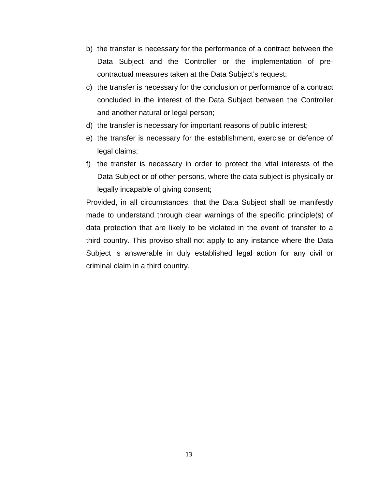- b) the transfer is necessary for the performance of a contract between the Data Subject and the Controller or the implementation of precontractual measures taken at the Data Subject's request;
- c) the transfer is necessary for the conclusion or performance of a contract concluded in the interest of the Data Subject between the Controller and another natural or legal person;
- d) the transfer is necessary for important reasons of public interest;
- e) the transfer is necessary for the establishment, exercise or defence of legal claims;
- f) the transfer is necessary in order to protect the vital interests of the Data Subject or of other persons, where the data subject is physically or legally incapable of giving consent;

Provided, in all circumstances, that the Data Subject shall be manifestly made to understand through clear warnings of the specific principle(s) of data protection that are likely to be violated in the event of transfer to a third country. This proviso shall not apply to any instance where the Data Subject is answerable in duly established legal action for any civil or criminal claim in a third country.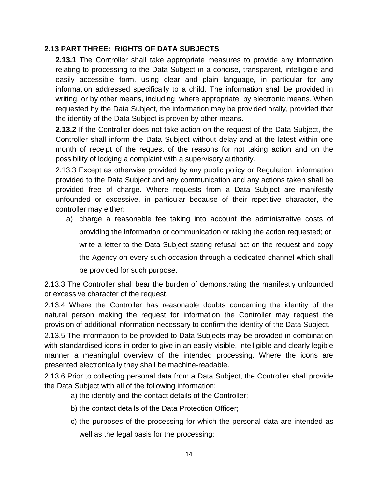## **2.13 PART THREE: RIGHTS OF DATA SUBJECTS**

**2.13.1** The Controller shall take appropriate measures to provide any information relating to processing to the Data Subject in a concise, transparent, intelligible and easily accessible form, using clear and plain language, in particular for any information addressed specifically to a child. The information shall be provided in writing, or by other means, including, where appropriate, by electronic means. When requested by the Data Subject, the information may be provided orally, provided that the identity of the Data Subject is proven by other means.

**2.13.2** If the Controller does not take action on the request of the Data Subject, the Controller shall inform the Data Subject without delay and at the latest within one month of receipt of the request of the reasons for not taking action and on the possibility of lodging a complaint with a supervisory authority.

2.13.3 Except as otherwise provided by any public policy or Regulation, information provided to the Data Subject and any communication and any actions taken shall be provided free of charge. Where requests from a Data Subject are manifestly unfounded or excessive, in particular because of their repetitive character, the controller may either:

a) charge a reasonable fee taking into account the administrative costs of providing the information or communication or taking the action requested; or write a letter to the Data Subject stating refusal act on the request and copy the Agency on every such occasion through a dedicated channel which shall be provided for such purpose.

2.13.3 The Controller shall bear the burden of demonstrating the manifestly unfounded or excessive character of the request.

2.13.4 Where the Controller has reasonable doubts concerning the identity of the natural person making the request for information the Controller may request the provision of additional information necessary to confirm the identity of the Data Subject.

2.13.5 The information to be provided to Data Subjects may be provided in combination with standardised icons in order to give in an easily visible, intelligible and clearly legible manner a meaningful overview of the intended processing. Where the icons are presented electronically they shall be machine-readable.

2.13.6 Prior to collecting personal data from a Data Subject, the Controller shall provide the Data Subject with all of the following information:

a) the identity and the contact details of the Controller;

- b) the contact details of the Data Protection Officer;
- c) the purposes of the processing for which the personal data are intended as well as the legal basis for the processing;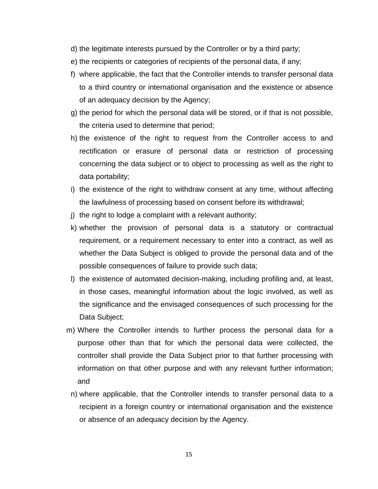- d) the legitimate interests pursued by the Controller or by a third party;
- e) the recipients or categories of recipients of the personal data, if any;
- f) where applicable, the fact that the Controller intends to transfer personal data to a third country or international organisation and the existence or absence of an adequacy decision by the Agency;
- g) the period for which the personal data will be stored, or if that is not possible, the criteria used to determine that period;
- h) the existence of the right to request from the Controller access to and rectification or erasure of personal data or restriction of processing concerning the data subject or to object to processing as well as the right to data portability;
- i) the existence of the right to withdraw consent at any time, without affecting the lawfulness of processing based on consent before its withdrawal;
- j) the right to lodge a complaint with a relevant authority;
- k) whether the provision of personal data is a statutory or contractual requirement, or a requirement necessary to enter into a contract, as well as whether the Data Subject is obliged to provide the personal data and of the possible consequences of failure to provide such data;
- l) the existence of automated decision-making, including profiling and, at least, in those cases, meaningful information about the logic involved, as well as the significance and the envisaged consequences of such processing for the Data Subject;
- m) Where the Controller intends to further process the personal data for a purpose other than that for which the personal data were collected, the controller shall provide the Data Subject prior to that further processing with information on that other purpose and with any relevant further information; and
	- n) where applicable, that the Controller intends to transfer personal data to a recipient in a foreign country or international organisation and the existence or absence of an adequacy decision by the Agency.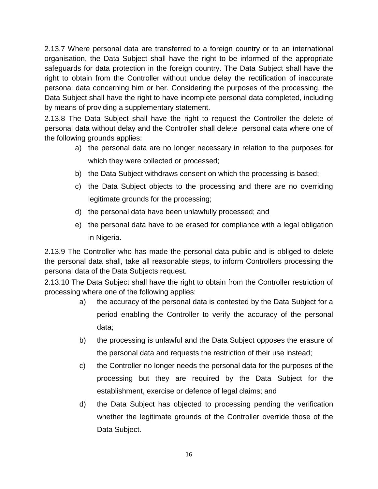2.13.7 Where personal data are transferred to a foreign country or to an international organisation, the Data Subject shall have the right to be informed of the appropriate safeguards for data protection in the foreign country. The Data Subject shall have the right to obtain from the Controller without undue delay the rectification of inaccurate personal data concerning him or her. Considering the purposes of the processing, the Data Subject shall have the right to have incomplete personal data completed, including by means of providing a supplementary statement.

2.13.8 The Data Subject shall have the right to request the Controller the delete of personal data without delay and the Controller shall delete personal data where one of the following grounds applies:

- a) the personal data are no longer necessary in relation to the purposes for which they were collected or processed;
- b) the Data Subject withdraws consent on which the processing is based;
- c) the Data Subject objects to the processing and there are no overriding legitimate grounds for the processing;
- d) the personal data have been unlawfully processed; and
- e) the personal data have to be erased for compliance with a legal obligation in Nigeria.

2.13.9 The Controller who has made the personal data public and is obliged to delete the personal data shall, take all reasonable steps, to inform Controllers processing the personal data of the Data Subjects request.

2.13.10 The Data Subject shall have the right to obtain from the Controller restriction of processing where one of the following applies:

- a) the accuracy of the personal data is contested by the Data Subject for a period enabling the Controller to verify the accuracy of the personal data;
- b) the processing is unlawful and the Data Subject opposes the erasure of the personal data and requests the restriction of their use instead;
- c) the Controller no longer needs the personal data for the purposes of the processing but they are required by the Data Subject for the establishment, exercise or defence of legal claims; and
- d) the Data Subject has objected to processing pending the verification whether the legitimate grounds of the Controller override those of the Data Subject.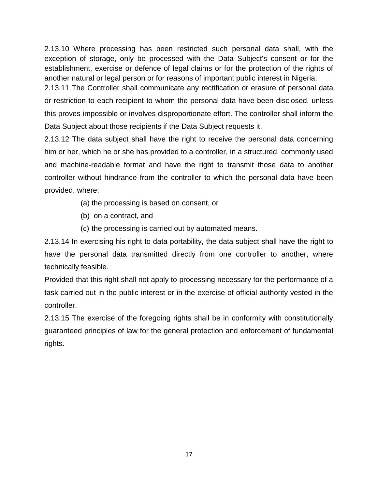2.13.10 Where processing has been restricted such personal data shall, with the exception of storage, only be processed with the Data Subject's consent or for the establishment, exercise or defence of legal claims or for the protection of the rights of another natural or legal person or for reasons of important public interest in Nigeria.

2.13.11 The Controller shall communicate any rectification or erasure of personal data or restriction to each recipient to whom the personal data have been disclosed, unless this proves impossible or involves disproportionate effort. The controller shall inform the Data Subject about those recipients if the Data Subject requests it.

2.13.12 The data subject shall have the right to receive the personal data concerning him or her, which he or she has provided to a controller, in a structured, commonly used and machine-readable format and have the right to transmit those data to another controller without hindrance from the controller to which the personal data have been provided, where:

- (a) the processing is based on consent, or
- (b) on a contract, and
- (c) the processing is carried out by automated means.

2.13.14 In exercising his right to data portability, the data subject shall have the right to have the personal data transmitted directly from one controller to another, where technically feasible.

Provided that this right shall not apply to processing necessary for the performance of a task carried out in the public interest or in the exercise of official authority vested in the controller.

2.13.15 The exercise of the foregoing rights shall be in conformity with constitutionally guaranteed principles of law for the general protection and enforcement of fundamental rights.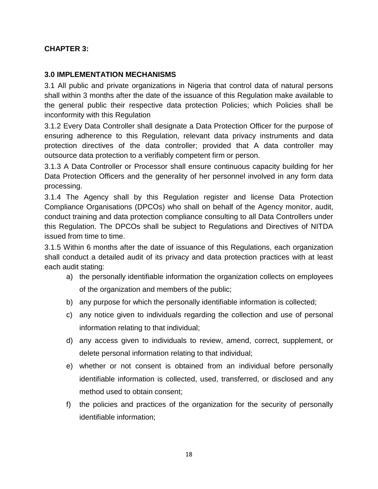# **CHAPTER 3:**

# **3.0 IMPLEMENTATION MECHANISMS**

3.1 All public and private organizations in Nigeria that control data of natural persons shall within 3 months after the date of the issuance of this Regulation make available to the general public their respective data protection Policies; which Policies shall be inconformity with this Regulation

3.1.2 Every Data Controller shall designate a Data Protection Officer for the purpose of ensuring adherence to this Regulation, relevant data privacy instruments and data protection directives of the data controller; provided that A data controller may outsource data protection to a verifiably competent firm or person.

3.1.3 A Data Controller or Processor shall ensure continuous capacity building for her Data Protection Officers and the generality of her personnel involved in any form data processing.

3.1.4 The Agency shall by this Regulation register and license Data Protection Compliance Organisations (DPCOs) who shall on behalf of the Agency monitor, audit, conduct training and data protection compliance consulting to all Data Controllers under this Regulation. The DPCOs shall be subject to Regulations and Directives of NITDA issued from time to time.

3.1.5 Within 6 months after the date of issuance of this Regulations, each organization shall conduct a detailed audit of its privacy and data protection practices with at least each audit stating:

- a) the personally identifiable information the organization collects on employees of the organization and members of the public;
- b) any purpose for which the personally identifiable information is collected;
- c) any notice given to individuals regarding the collection and use of personal information relating to that individual;
- d) any access given to individuals to review, amend, correct, supplement, or delete personal information relating to that individual;
- e) whether or not consent is obtained from an individual before personally identifiable information is collected, used, transferred, or disclosed and any method used to obtain consent;
- f) the policies and practices of the organization for the security of personally identifiable information;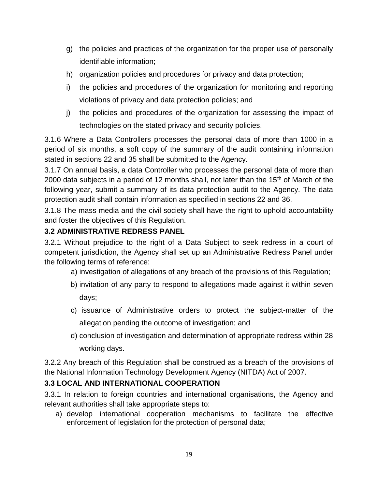- g) the policies and practices of the organization for the proper use of personally identifiable information;
- h) organization policies and procedures for privacy and data protection;
- i) the policies and procedures of the organization for monitoring and reporting violations of privacy and data protection policies; and
- j) the policies and procedures of the organization for assessing the impact of technologies on the stated privacy and security policies.

3.1.6 Where a Data Controllers processes the personal data of more than 1000 in a period of six months, a soft copy of the summary of the audit containing information stated in sections 22 and 35 shall be submitted to the Agency.

3.1.7 On annual basis, a data Controller who processes the personal data of more than 2000 data subjects in a period of 12 months shall, not later than the 15<sup>th</sup> of March of the following year, submit a summary of its data protection audit to the Agency. The data protection audit shall contain information as specified in sections 22 and 36.

3.1.8 The mass media and the civil society shall have the right to uphold accountability and foster the objectives of this Regulation.

# **3.2 ADMINISTRATIVE REDRESS PANEL**

3.2.1 Without prejudice to the right of a Data Subject to seek redress in a court of competent jurisdiction, the Agency shall set up an Administrative Redress Panel under the following terms of reference:

- a) investigation of allegations of any breach of the provisions of this Regulation;
- b) invitation of any party to respond to allegations made against it within seven days;
- c) issuance of Administrative orders to protect the subject-matter of the allegation pending the outcome of investigation; and
- d) conclusion of investigation and determination of appropriate redress within 28 working days.

3.2.2 Any breach of this Regulation shall be construed as a breach of the provisions of the National Information Technology Development Agency (NITDA) Act of 2007.

# **3.3 LOCAL AND INTERNATIONAL COOPERATION**

3.3.1 In relation to foreign countries and international organisations, the Agency and relevant authorities shall take appropriate steps to:

a) develop international cooperation mechanisms to facilitate the effective enforcement of legislation for the protection of personal data;